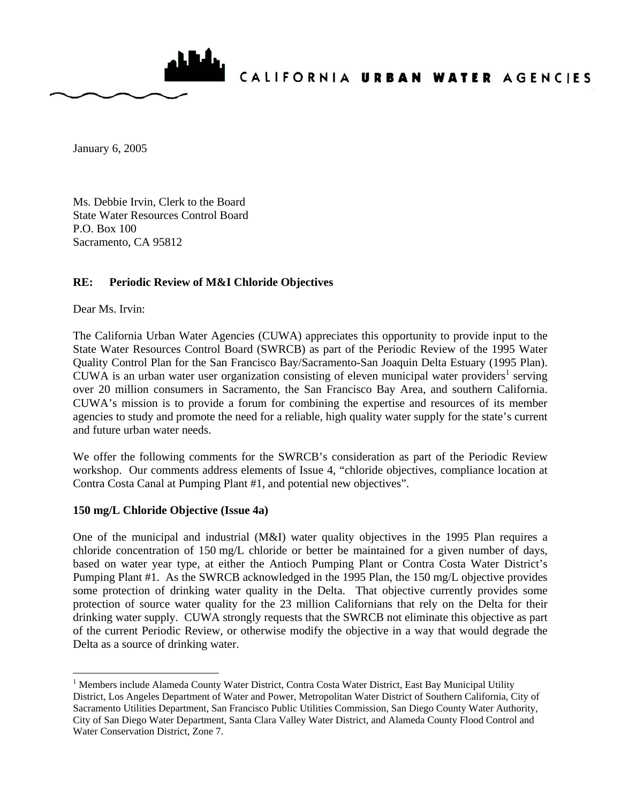

January 6, 2005

Ms. Debbie Irvin, Clerk to the Board State Water Resources Control Board P.O. Box 100 Sacramento, CA 95812

## **RE: Periodic Review of M&I Chloride Objectives**

Dear Ms. Irvin:

 $\overline{a}$ 

The California Urban Water Agencies (CUWA) appreciates this opportunity to provide input to the State Water Resources Control Board (SWRCB) as part of the Periodic Review of the 1995 Water Quality Control Plan for the San Francisco Bay/Sacramento-San Joaquin Delta Estuary (1995 Plan). CUWA is an urban water user organization consisting of eleven municipal water providers<sup>1</sup> serving over 20 million consumers in Sacramento, the San Francisco Bay Area, and southern California. CUWA's mission is to provide a forum for combining the expertise and resources of its member agencies to study and promote the need for a reliable, high quality water supply for the state's current and future urban water needs.

We offer the following comments for the SWRCB's consideration as part of the Periodic Review workshop. Our comments address elements of Issue 4, "chloride objectives, compliance location at Contra Costa Canal at Pumping Plant #1, and potential new objectives".

## **150 mg/L Chloride Objective (Issue 4a)**

One of the municipal and industrial (M&I) water quality objectives in the 1995 Plan requires a chloride concentration of 150 mg/L chloride or better be maintained for a given number of days, based on water year type, at either the Antioch Pumping Plant or Contra Costa Water District's Pumping Plant #1. As the SWRCB acknowledged in the 1995 Plan, the 150 mg/L objective provides some protection of drinking water quality in the Delta. That objective currently provides some protection of source water quality for the 23 million Californians that rely on the Delta for their drinking water supply. CUWA strongly requests that the SWRCB not eliminate this objective as part of the current Periodic Review, or otherwise modify the objective in a way that would degrade the Delta as a source of drinking water.

<sup>&</sup>lt;sup>1</sup> Members include Alameda County Water District, Contra Costa Water District, East Bay Municipal Utility District, Los Angeles Department of Water and Power, Metropolitan Water District of Southern California, City of Sacramento Utilities Department, San Francisco Public Utilities Commission, San Diego County Water Authority, City of San Diego Water Department, Santa Clara Valley Water District, and Alameda County Flood Control and Water Conservation District, Zone 7.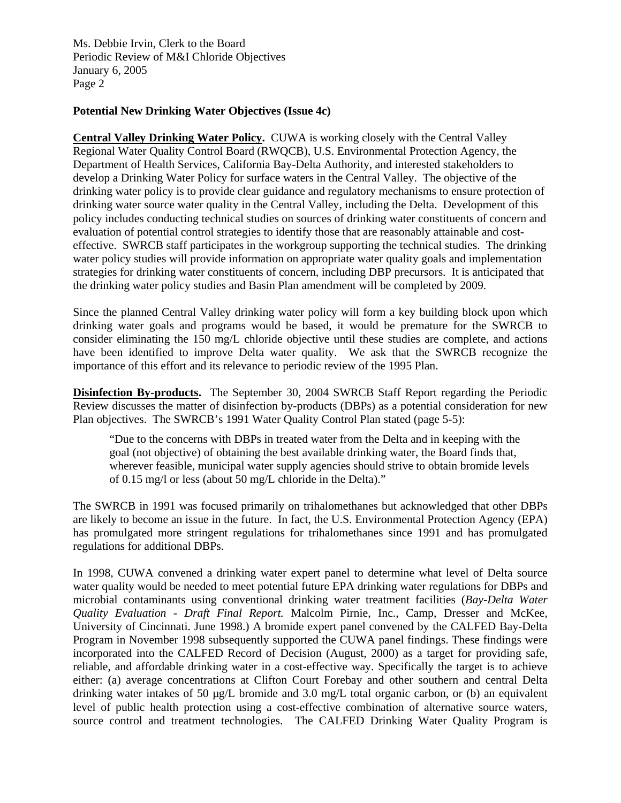Ms. Debbie Irvin, Clerk to the Board Periodic Review of M&I Chloride Objectives January 6, 2005 Page 2

## **Potential New Drinking Water Objectives (Issue 4c)**

**Central Valley Drinking Water Policy.** CUWA is working closely with the Central Valley Regional Water Quality Control Board (RWQCB), U.S. Environmental Protection Agency, the Department of Health Services, California Bay-Delta Authority, and interested stakeholders to develop a Drinking Water Policy for surface waters in the Central Valley. The objective of the drinking water policy is to provide clear guidance and regulatory mechanisms to ensure protection of drinking water source water quality in the Central Valley, including the Delta. Development of this policy includes conducting technical studies on sources of drinking water constituents of concern and evaluation of potential control strategies to identify those that are reasonably attainable and costeffective. SWRCB staff participates in the workgroup supporting the technical studies. The drinking water policy studies will provide information on appropriate water quality goals and implementation strategies for drinking water constituents of concern, including DBP precursors. It is anticipated that the drinking water policy studies and Basin Plan amendment will be completed by 2009.

Since the planned Central Valley drinking water policy will form a key building block upon which drinking water goals and programs would be based, it would be premature for the SWRCB to consider eliminating the 150 mg/L chloride objective until these studies are complete, and actions have been identified to improve Delta water quality. We ask that the SWRCB recognize the importance of this effort and its relevance to periodic review of the 1995 Plan.

**Disinfection By-products.** The September 30, 2004 SWRCB Staff Report regarding the Periodic Review discusses the matter of disinfection by-products (DBPs) as a potential consideration for new Plan objectives. The SWRCB's 1991 Water Quality Control Plan stated (page 5-5):

"Due to the concerns with DBPs in treated water from the Delta and in keeping with the goal (not objective) of obtaining the best available drinking water, the Board finds that, wherever feasible, municipal water supply agencies should strive to obtain bromide levels of 0.15 mg/l or less (about 50 mg/L chloride in the Delta)."

The SWRCB in 1991 was focused primarily on trihalomethanes but acknowledged that other DBPs are likely to become an issue in the future. In fact, the U.S. Environmental Protection Agency (EPA) has promulgated more stringent regulations for trihalomethanes since 1991 and has promulgated regulations for additional DBPs.

In 1998, CUWA convened a drinking water expert panel to determine what level of Delta source water quality would be needed to meet potential future EPA drinking water regulations for DBPs and microbial contaminants using conventional drinking water treatment facilities (*Bay-Delta Water Quality Evaluation - Draft Final Report.* Malcolm Pirnie, Inc., Camp, Dresser and McKee, University of Cincinnati. June 1998.) A bromide expert panel convened by the CALFED Bay-Delta Program in November 1998 subsequently supported the CUWA panel findings. These findings were incorporated into the CALFED Record of Decision (August, 2000) as a target for providing safe, reliable, and affordable drinking water in a cost-effective way. Specifically the target is to achieve either: (a) average concentrations at Clifton Court Forebay and other southern and central Delta drinking water intakes of 50 µg/L bromide and 3.0 mg/L total organic carbon, or (b) an equivalent level of public health protection using a cost-effective combination of alternative source waters, source control and treatment technologies. The CALFED Drinking Water Quality Program is